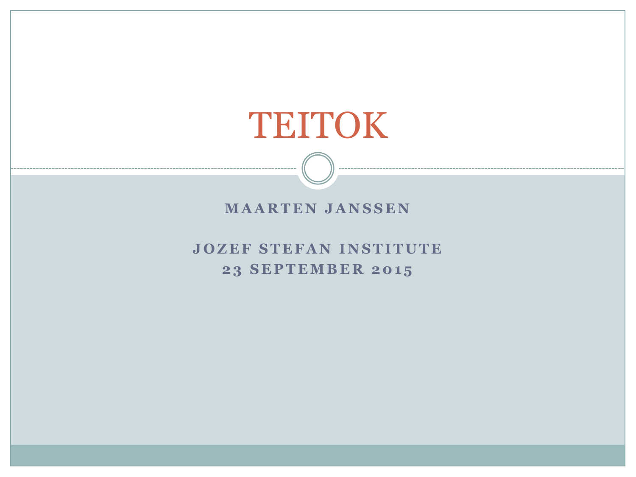# TEITOK

#### **MAARTEN JANSSEN**

#### **JOZEF STEFAN INSTITUTE 23 SEPTEMBER 2015**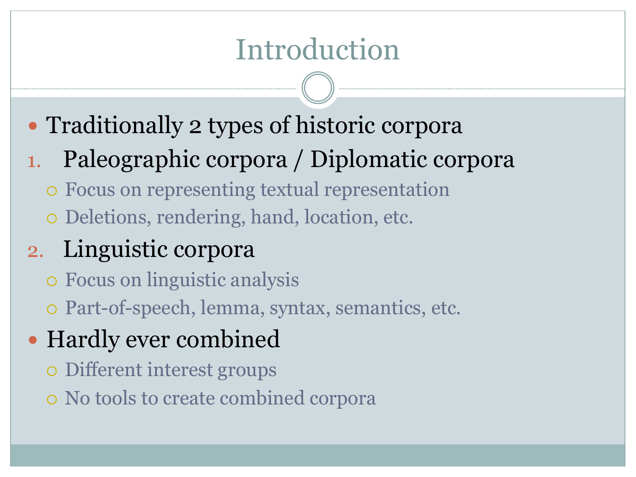# Introduction

- Traditionally 2 types of historic corpora
- 1. Paleographic corpora / Diplomatic corpora
	- o Focus on representing textual representation
	- o Deletions, rendering, hand, location, etc.
- 2. Linguistic corpora
	- ¡ Focus on linguistic analysis
	- $\circ$  Part-of-speech, lemma, syntax, semantics, etc.
- Hardly ever combined
	- $\circ$  Different interest groups
	- $\circ$  No tools to create combined corpora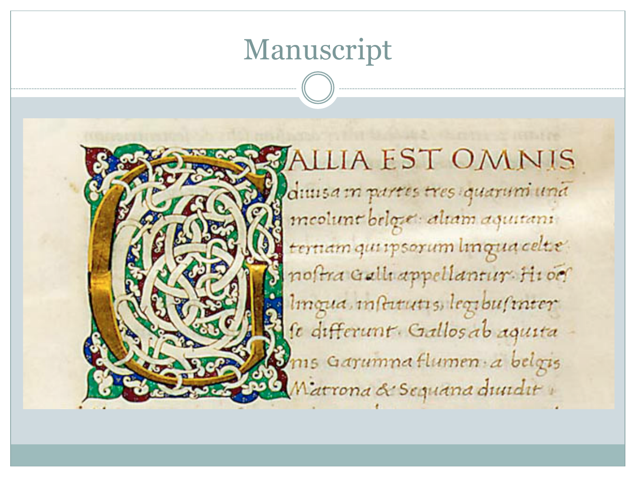## Manuscript



**ALLIA EST OMNIS** diuisa in partes tres quarum una meolunt belgie: altam aquitani ternam qui ipsorum lingua celte noftra Galli appellantur Hi oc Imqua, instrutis, legibusmer se differunt. Gallos ab aquita Ims Garumna flumen a belgis Matrona & Sequana duudit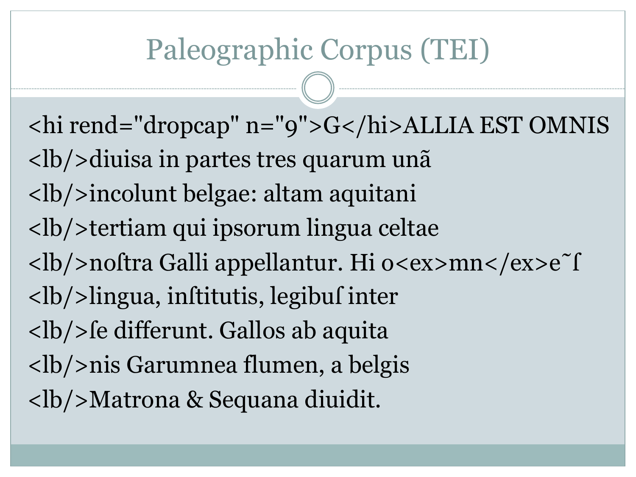# Paleographic Corpus (TEI)

<hi rend="dropcap" n="9">G</hi>ALLIA EST OMNIS <lb/>diuisa in partes tres quarum unã <lb/>incolunt belgae: altam aquitani <lb/>tertiam qui ipsorum lingua celtae <lb/>noſtra Galli appellantur. Hi o<ex>mn</ex>e˜ſ <lb/>lingua, inſtitutis, legibuſ inter <lb/>ſe differunt. Gallos ab aquita <lb/>nis Garumnea flumen, a belgis <lb/>Matrona & Sequana diuidit.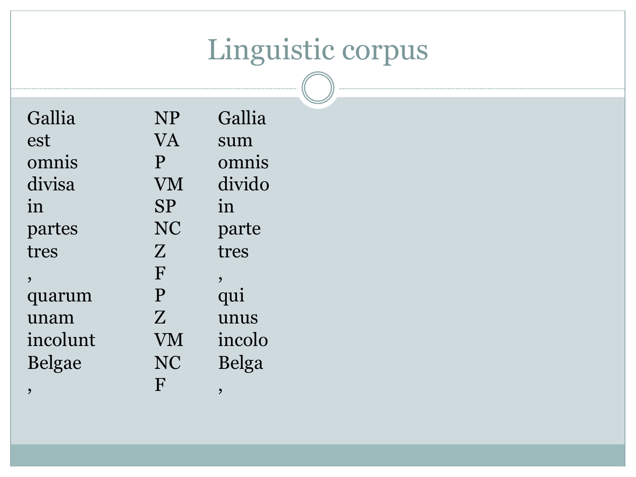# Linguistic corpus

| Gallia                   | <b>NP</b>    | Gallia |
|--------------------------|--------------|--------|
| est                      | VA           | sum    |
| omnis                    | P            | omnis  |
| divisa                   | VM           | divido |
| in                       | <b>SP</b>    | in     |
| partes                   | NC           | parte  |
| tres                     | Z            | tres   |
| $\overline{\phantom{a}}$ | F            |        |
| quarum                   | P            | qui    |
| unam                     | Z            | unus   |
| incolunt                 | ${\rm VM}$   | incolo |
| <b>Belgae</b>            | NC           | Belga  |
| ,                        | $\mathbf{F}$ | ,      |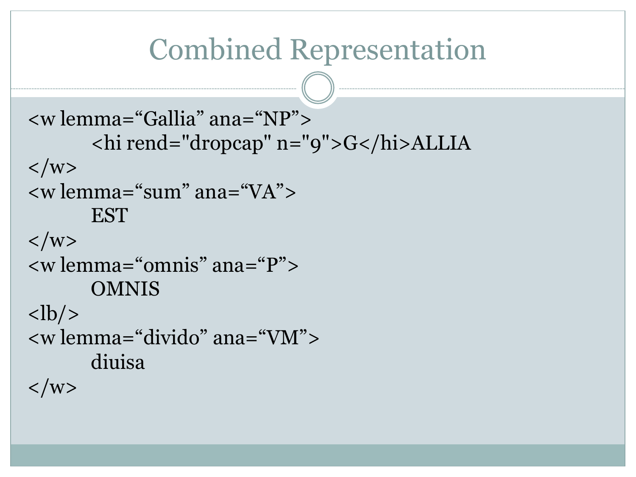```
Combined Representation 
<w lemma="Gallia" ana="NP"> 
      <hi rend="dropcap" n="9">G</hi>ALLIA 
\langle/w><w lemma="sum" ana="VA"> 
      EST
\langle/w><w lemma="omnis" ana="P"> 
      OMNIS
<lb/>
<w lemma="divido" ana="VM"> 
      diuisa
\langle/w>
```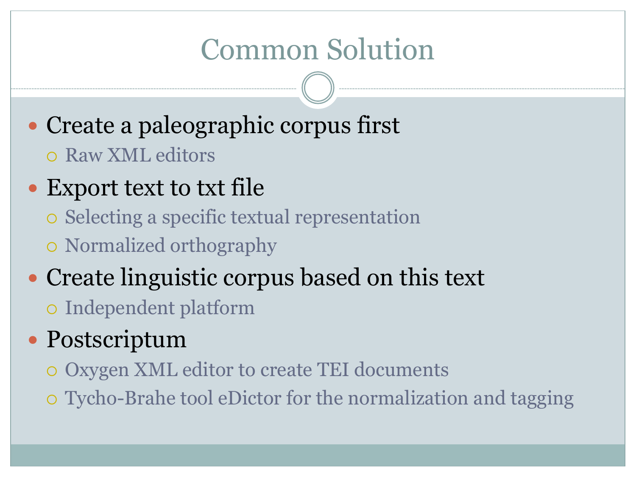# Common Solution

- Create a paleographic corpus first
	- o Raw XML editors

#### • Export text to txt file

- ¡ Selecting a specific textual representation
- o Normalized orthography
- Create linguistic corpus based on this text ¡ Independent platform

#### Postscriptum

- ¡ Oxygen XML editor to create TEI documents
- ¡ Tycho-Brahe tool eDictor for the normalization and tagging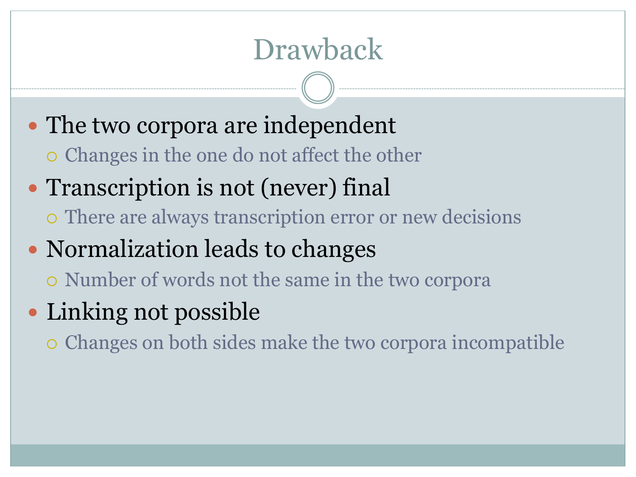# Drawback

- The two corpora are independent
	- ¡ Changes in the one do not affect the other
- Transcription is not (never) final
	- ¡ There are always transcription error or new decisions
- Normalization leads to changes
	- ¡ Number of words not the same in the two corpora
- Linking not possible
	- ¡ Changes on both sides make the two corpora incompatible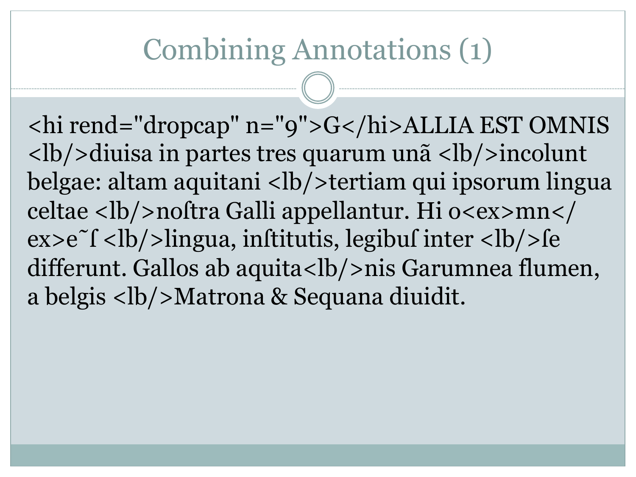# Combining Annotations (1)

<hi rend="dropcap" n="9">G</hi>ALLIA EST OMNIS **/** $**l**$ **diuisa in partes tres quarum unã**  $**l**$ **b/** $**l**$ **incolunt** belgae: altam aquitani <lb/>>bertiam qui ipsorum lingua celtae <lb/>lb/>noftra Galli appellantur. Hi o<ex>mn</  $ex > e<sup>o</sup>f <$ lingua, inftitutis, legibuf inter  $$ differunt. Gallos ab aquita<lb/>lb>nis Garumnea flumen, a belgis <lb/>Matrona & Sequana diuidit.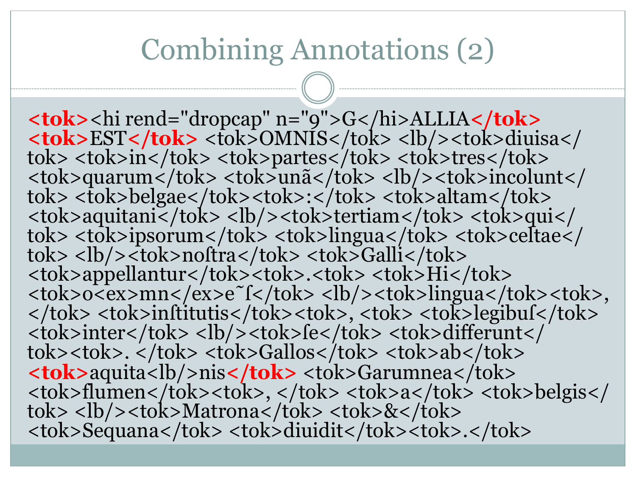#### Combining Annotations (2)

**<tok>**<hi rend="dropcap" n="9">G</hi>ALLIA**</tok><br><tok>EST</tok> <tok>OMNIS</tok> <lb/>>b/>><tok>diuisa</** tok> <tok>in</tok> <tok>partes</tok> <tok>tres</tok> <tok>quarum</tok> <tok>incolunt</tok> <tok>belgae</tok><tok>:</tok> <tok>altam</tok><br><tok>> <tok>belgae</tok><tok>:</tok> <tok>altam</tok><br><tok>aquitani</tok> <lb/><tok>tertiam</tok> <tok>qui</ tok> <tok>ipsorum</tok> <tok>lingua</tok> <tok>celtae</tok> <tok><tok> <tok><tok> <tok>appellantur</tok><tok>.<tok> <tok>Hi</tok> <tok>o<ex>mn</ex>e˜ſ</tok> <lb/><tok>lingua</tok><tok>, </tok> <tok>inſtitutis</tok><tok>, <tok> <tok>legibuſ</tok> <tok>inter</tok> <lb/><lb/><tok>fe</tok> <tok>differunt</tok><tok>.</tok> </tok> <tok>sh>.</tok> **<tok>**aquita<lb/>nis**</tok>** <tok>Garumnea</tok> <tok>flumen</tok><tok>, </tok> <tok>a</tok> <tok>belgis</tok> <br/> <tok>>Matrona</tok> <tok>&</tok> <tok>Sequana</tok> <tok>diuidit</tok><tok>.</tok>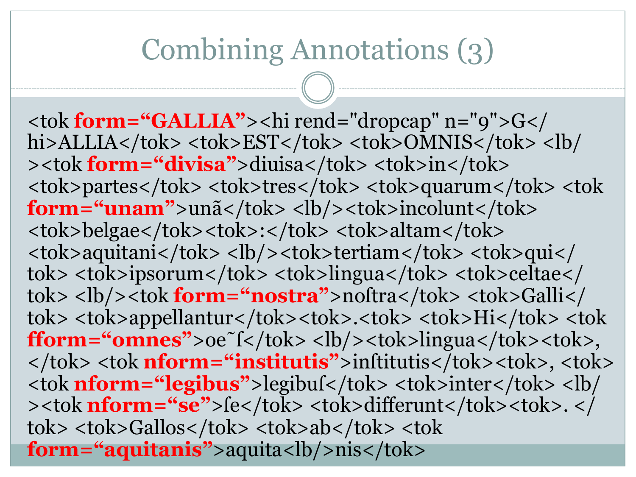# Combining Annotations (3)

<tok **form="GALLIA"**><hi rend="dropcap" n="9">G</ hi>ALLIA</tok> <tok>EST</tok> <tok>OMNIS</tok> <lb/ ><tok **form="divisa"**>diuisa</tok> <tok>in</tok> <tok>partes</tok> <tok>tres</tok> <tok>quarum</tok> <tok **form="unam"**>unã</tok> <lb/>>b/>><tok>incolunt</tok> <tok>belgae</tok><tok>:</tok> <tok>altam</tok> <tok>aquitani</tok> <lb/><tok>tertiam</tok> <tok>qui</ tok> <tok>ipsorum</tok> <tok>lingua</tok> <tok>celtae</ tok> <lb/>>/>><tok form="nostra">noftra</tok> <tok>Galli</ tok> <tok>appellantur</tok><tok>.<tok> <tok>Hi</tok> <tok **fform="omnes">**oe~ $f$ </tok><lb/>>>b/>><tok>lingua</tok><tok>, </tok> <tok nform="institutis">inftitutis</tok><tok>, <tok> <tok **nform="legibus"**>legibuſ</tok> <tok>inter</tok> <lb/ >>>>>
>
>
>
>
> **nform="se"**>fe</tok>
<tok>
differunt</tok>
<tok>
...>
</ tok> <tok>Gallos</tok> <tok>ab</tok> <tok **form="aquitanis"**>aquita<lb/>
<sub>/>nis</sub>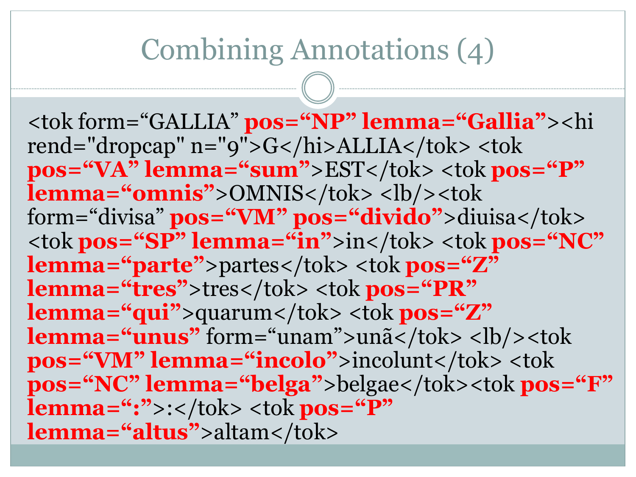### Combining Annotations (4)

<tok form="GALLIA" **pos="NP" lemma="Gallia"**><hi rend="dropcap" n="9">G</hi>ALLIA</tok> <tok **pos="VA" lemma="sum"**>EST</tok> <tok **pos="P" lemma="omnis">OMNIS</tok><lb/><tok>** form="divisa" **pos="VM" pos="divido"**>diuisa</tok> <tok **pos="SP" lemma="in"**>in</tok> <tok **pos="NC" lemma="parte"**>partes</tok> <tok **pos="Z" lemma="tres">tres</tok> <tok pos="PR" lemma="qui"**>quarum</tok> <tok **pos="Z" lemma="unus"** form="unam">unã</tok> <lb/>>b/> **pos="VM" lemma="incolo"**>incolunt</tok><tok **pos="NC" lemma="belga"**>belgae</tok><tok **pos="F" lemma=":">:</tok> <tok pos="P" lemma="altus"**>altam</tok>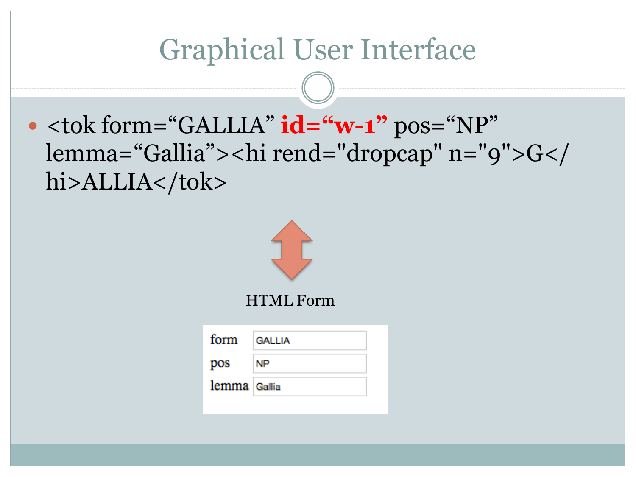## Graphical User Interface

 $\bullet$  <tok form="GALLIA"  $id = "w-1"$  pos="NP" lemma="Gallia"><hi rend="dropcap" n="9">G</ hi>ALLIA</tok>

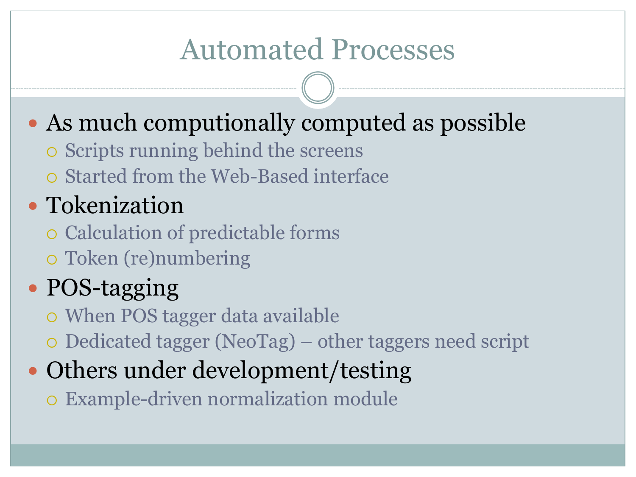# Automated Processes

## • As much computionally computed as possible

- $\circ$  Scripts running behind the screens
- ¡ Started from the Web-Based interface

#### • Tokenization

- ¡ Calculation of predictable forms
- ¡ Token (re)numbering

# • POS-tagging

- When POS tagger data available
- $\circ$  Dedicated tagger (NeoTag) other taggers need script

### • Others under development/testing

o Example-driven normalization module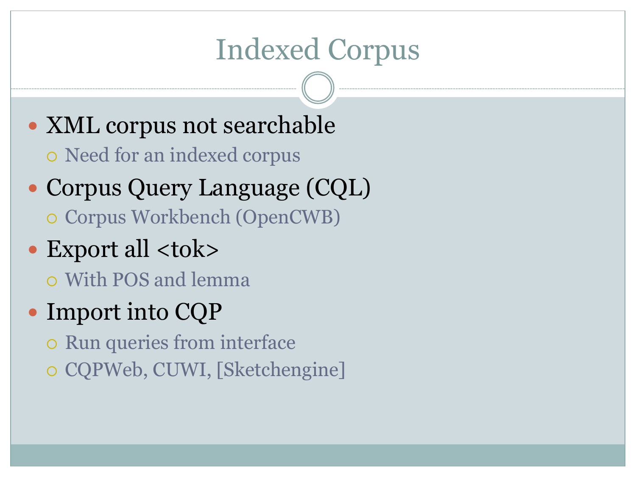# Indexed Corpus

- XML corpus not searchable ¡ Need for an indexed corpus
- Corpus Query Language (CQL) ¡ Corpus Workbench (OpenCWB)
- Export all <tok>
	- ¡ With POS and lemma
- Import into CQP
	- $\circ$  Run queries from interface
	- o CQPWeb, CUWI, [Sketchengine]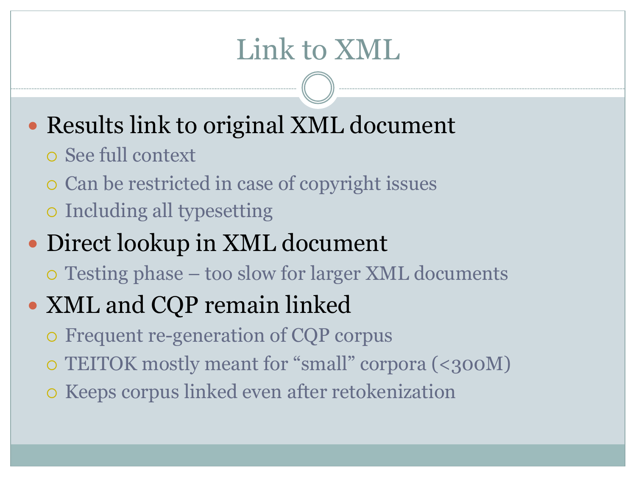# Link to XML

- Results link to original XML document
	- ¡ See full context
	- ¡ Can be restricted in case of copyright issues
	- ¡ Including all typesetting

#### • Direct lookup in XML document

¡ Testing phase – too slow for larger XML documents

#### • XML and CQP remain linked

- $\circ$  Frequent re-generation of CQP corpus
- ¡ TEITOK mostly meant for "small" corpora (<300M)
- **o** Keeps corpus linked even after retokenization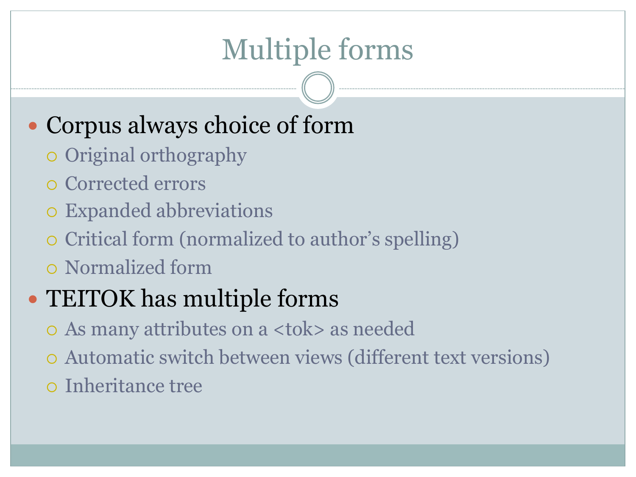# Multiple forms

#### • Corpus always choice of form

- o Original orthography
- o Corrected errors
- **•** Expanded abbreviations
- ¡ Critical form (normalized to author's spelling)
- ¡ Normalized form

#### • TEITOK has multiple forms

- ¡ As many attributes on a <tok> as needed
- ¡ Automatic switch between views (different text versions)
- ¡ Inheritance tree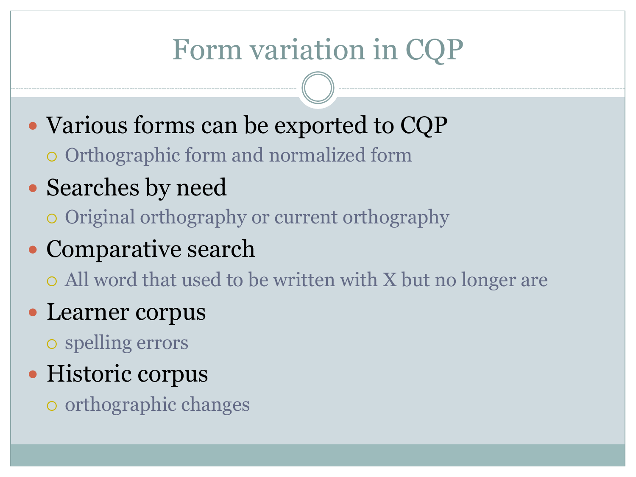# Form variation in CQP

- Various forms can be exported to CQP
	- ¡ Orthographic form and normalized form
- Searches by need
	- ¡ Original orthography or current orthography
- Comparative search
	- ¡ All word that used to be written with X but no longer are
- Learner corpus
	- $\circ$  spelling errors
- Historic corpus
	- $\circ$  orthographic changes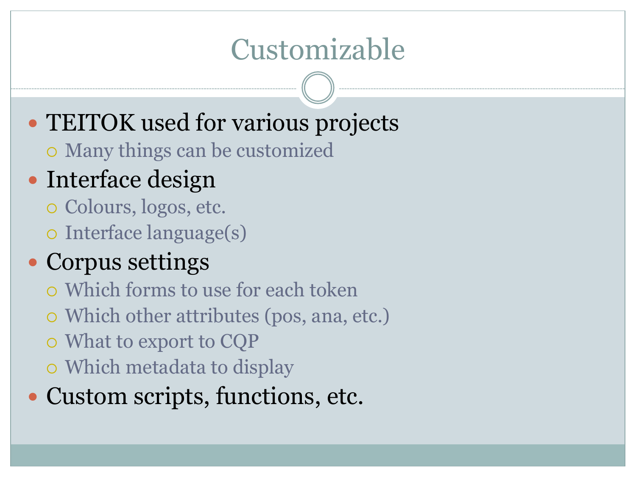## Customizable

- TEITOK used for various projects
	- Many things can be customized

#### • Interface design

- $\circ$  Colours, logos, etc.
- o Interface language(s)

#### Corpus settings

- ¡ Which forms to use for each token
- $\circ$  Which other attributes (pos, ana, etc.)
- $\circ$  What to export to CQP
- o Which metadata to display
- Custom scripts, functions, etc.